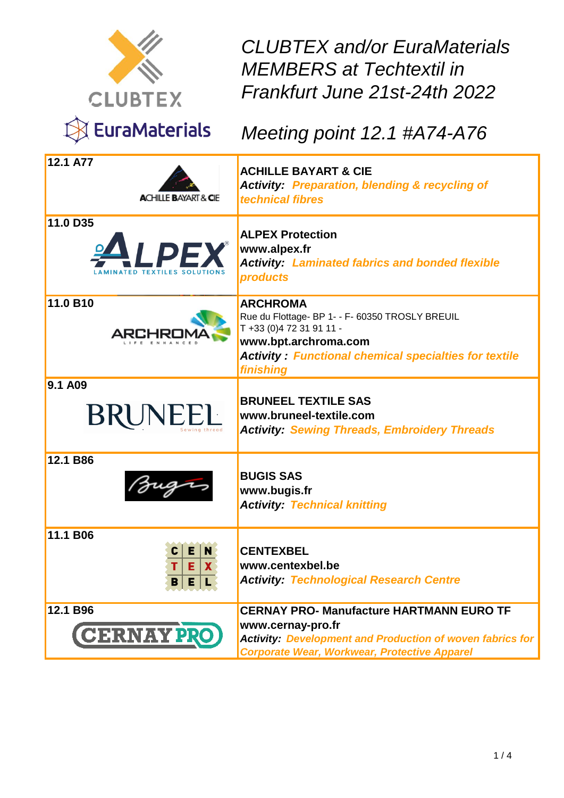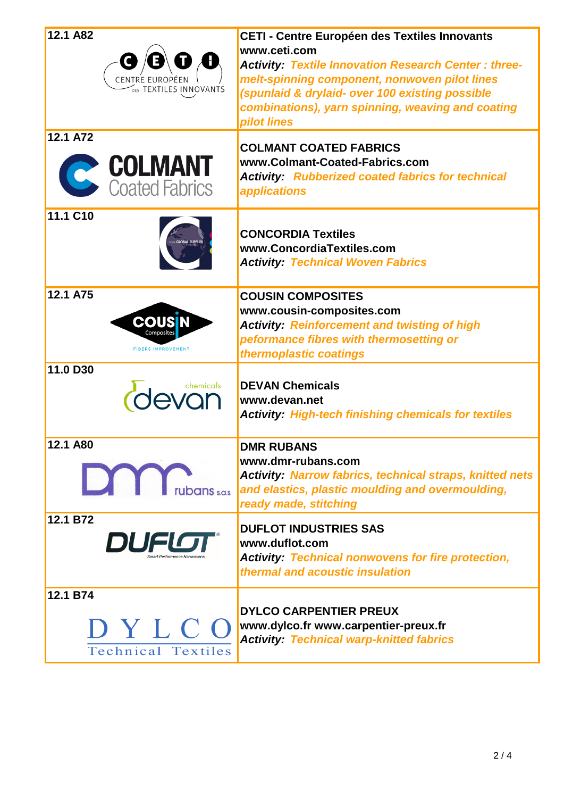| 12.1 A82<br>DES TEXTILES INNOVANTS            | CETI - Centre Européen des Textiles Innovants<br>www.ceti.com<br><b>Activity: Textile Innovation Research Center: three-</b><br>melt-spinning component, nonwoven pilot lines<br>(spunlaid & drylaid- over 100 existing possible<br>combinations), yarn spinning, weaving and coating<br>pilot lines |
|-----------------------------------------------|------------------------------------------------------------------------------------------------------------------------------------------------------------------------------------------------------------------------------------------------------------------------------------------------------|
| 12.1 A72<br><b>COLMANT</b><br>Coated Fabrics  | <b>COLMANT COATED FABRICS</b><br>www.Colmant-Coated-Fabrics.com<br><b>Activity: Rubberized coated fabrics for technical</b><br><i><b>applications</b></i>                                                                                                                                            |
| 11.1 C10                                      | <b>CONCORDIA Textiles</b><br>www.ConcordiaTextiles.com<br><b>Activity: Technical Woven Fabrics</b>                                                                                                                                                                                                   |
| 12.1 A75<br>COUS<br><b>FIBERS IMPROVEMENT</b> | <b>COUSIN COMPOSITES</b><br>www.cousin-composites.com<br><b>Activity: Reinforcement and twisting of high</b><br>peformance fibres with thermosetting or<br>thermoplastic coatings                                                                                                                    |
| 11.0 D30<br>chemicals                         | <b>DEVAN Chemicals</b><br>www.devan.net<br><b>Activity: High-tech finishing chemicals for textiles</b>                                                                                                                                                                                               |
| 12.1 A80<br><b>DAY</b> rubans sos.            | <b>DMR RUBANS</b><br>www.dmr-rubans.com<br><b>Activity: Narrow fabrics, technical straps, knitted nets</b><br>and elastics, plastic moulding and overmoulding,<br>ready made, stitching                                                                                                              |
| 12.1 B72<br>DUFLO                             | <b>DUFLOT INDUSTRIES SAS</b><br>www.duflot.com<br><b>Activity: Technical nonwovens for fire protection,</b><br>thermal and acoustic insulation                                                                                                                                                       |
| 12.1 B74<br>DYLCO<br>Technical Textiles       | <b>DYLCO CARPENTIER PREUX</b><br>www.dylco.fr www.carpentier-preux.fr<br><b>Activity: Technical warp-knitted fabrics</b>                                                                                                                                                                             |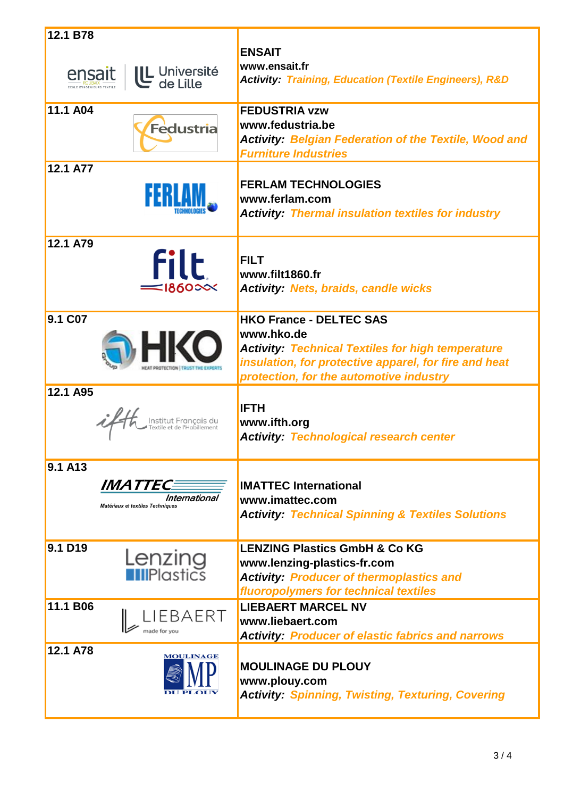| 12.1 B78                                                                |                                                                                                                                                                                                              |
|-------------------------------------------------------------------------|--------------------------------------------------------------------------------------------------------------------------------------------------------------------------------------------------------------|
| UL Université<br>de Lille<br>ensait                                     | <b>ENSAIT</b><br>www.ensait.fr<br><b>Activity: Training, Education (Textile Engineers), R&amp;D</b>                                                                                                          |
| 11.1 A04<br><b>Fedustria</b>                                            | <b>FEDUSTRIA vzw</b><br>www.fedustria.be<br><b>Activity: Belgian Federation of the Textile, Wood and</b><br><b>Furniture Industries</b>                                                                      |
| 12.1 A77                                                                | <b>FERLAM TECHNOLOGIES</b><br>www.ferlam.com<br><b>Activity: Thermal insulation textiles for industry</b>                                                                                                    |
| 12.1 A79<br><b>filt</b><br>$\equiv$ 1860 $\approx$                      | <b>FILT</b><br>www.filt1860.fr<br><b>Activity: Nets, braids, candle wicks</b>                                                                                                                                |
| 9.1 C07                                                                 | <b>HKO France - DELTEC SAS</b><br>www.hko.de<br><b>Activity: Technical Textiles for high temperature</b><br>insulation, for protective apparel, for fire and heat<br>protection, for the automotive industry |
| 12.1 A95                                                                | <b>IFTH</b><br>www.ifth.org<br><b>Activity: Technological research center</b>                                                                                                                                |
| 9.1 A13<br>IMATTEC<br>International<br>Matériaux et textiles Techniques | <b>IMATTEC International</b><br>www.imattec.com<br><b>Activity: Technical Spinning &amp; Textiles Solutions</b>                                                                                              |
| 9.1 D19<br><b>Lenzing</b><br>FiliPlastics                               | <b>LENZING Plastics GmbH &amp; Co KG</b><br>www.lenzing-plastics-fr.com<br><b>Activity: Producer of thermoplastics and</b><br>fluoropolymers for technical textiles                                          |
| 11.1 B06<br>IEBAERT<br>made for you                                     | <b>LIEBAERT MARCEL NV</b><br>www.liebaert.com<br><b>Activity: Producer of elastic fabrics and narrows</b>                                                                                                    |
| 12.1 A78<br><b>MOULINAGE</b>                                            | <b>MOULINAGE DU PLOUY</b><br>www.plouy.com<br><b>Activity: Spinning, Twisting, Texturing, Covering</b>                                                                                                       |